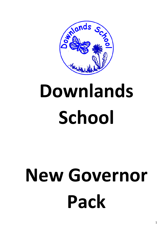

# **Downlands School**

# **New Governor Pack**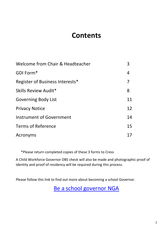# **Contents**

| Welcome from Chair & Headteacher | 3  |
|----------------------------------|----|
| GDI Form*                        | 4  |
| Register of Business Interests*  | 7  |
| Skills Review Audit*             | 8  |
| <b>Governing Body List</b>       | 11 |
| <b>Privacy Notice</b>            | 12 |
| Instrument of Government         | 14 |
| <b>Terms of Reference</b>        | 15 |
| Acronyms                         |    |

\*Please return completed copies of these 3 forms to Cress

A Child Workforce Governor DBS check will also be made and photographic proof of identity and proof of residency will be required during this process.

Please follow this link to find out more about becoming a school Governor.

[Be a school governor NGA](https://www.nga.org.uk/Governance-Recruitment/Be-a-school-governor-or-trustee.aspx)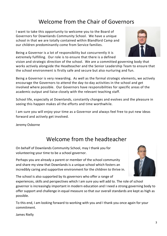3

# Welcome from the Chair of Governors

I want to take this opportunity to welcome you to the Board of Governors for Downlands Community School. We have a unique school in that we are totally contained within Blandford Camp and our children predominantly come from Service families.

Being a Governor is a lot of responsibility but concurrently it is extremely fulfilling. Our role is to ensure that there is a defined

vision and strategic direction of the school. We are a committed governing body that works actively alongside the Headteacher and the Senior Leadership Team to ensure that the school environment is firstly safe and secure but also nurturing and fun.

Being a Governor is very rewarding. As well as the formal strategic elements, we actively encourage the Governors to attend the day-to-day activities in the school and get involved where possible. Our Governors have responsibilities for specific areas of the academic output and liaise closely with the relevant teaching staff.

School life, especially at Downlands, constantly changes and evolves and the pleasure in seeing this happen makes all the efforts and time worthwhile.

I am sure you will enjoy your time as a Governor and always feel free to put new ideas forward and actively get involved.

Jeremy Osborne

James Rielly

# Welcome from the headteacher

On behalf of Downlands Community School, may I thank you for volunteering your time to be a school governor.

Perhaps you are already a parent or member of the school community and share my view that Downlands is a unique school which fosters an incredibly caring and supportive environment for the children to thrive in.

The school is also supported by its governors who offer a range of

experiences, skills and perspectives which I am sure you will add to. The role of school governor is increasingly important in modern education and I need a strong governing body to offer support and challenge in equal measure so that our overall standards are kept as high as possible.

To this end, I am looking forward to working with you and I thank you once again for your commitment.



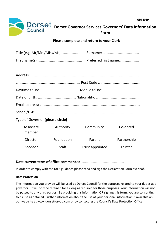

#### **Please complete and return to your Clerk**

| Preferred first name |
|----------------------|
|                      |
|                      |
|                      |
|                      |
|                      |
|                      |

Email address: ………………………………………………………………………………………………… School/LGB: ……………………………………………………………………………………………………

Type of Governor **(please circle)**

| Associate<br>member | Authority    | Community       | Co-opted    |
|---------------------|--------------|-----------------|-------------|
| Director            | Foundation   | Parent          | Partnership |
| Sponsor             | <b>Staff</b> | Trust appointed | Trustee     |

#### **Date current term of office commenced** ………………..………………………

In order to comply with the DfES guidance please read and sign the Declaration Form overleaf.

#### **Data Protection**

The information you provide will be used by Dorset Council for the purposes related to your duties as a governor. It will only be retained for as long as required for those purposes. Your information will not be passed to any third parties. By providing this information OR signing this form, you are consenting to its use as detailed. Further information about the use of your personal information is available on our web-site at www.dorsetforyou.com or by contacting the Council's Data Protection Officer.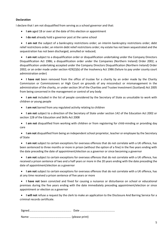#### **Declaration**

I declare that I am not disqualified from serving as a school governor and that:

- **I am** aged 18 or over at the date of this election or appointment
- **I do not** already hold a governor post at the same school

 **I am not** the subject of a bankruptcy restrictions order; an interim bankruptcy restrictions order; debt relief restrictions order; an interim debt relief restrictions order; my estate has not been sequestrated and the sequestration has not been discharged, annulled or reduced;

 **I am not** subject to a disqualification order or disqualification undertaking under the Company Directors Disqualification Act 1986; a disqualification order under the Companies (Northern Ireland) Order 2002; a disqualification undertaking accepted under the Company Directors Disqualification (Northern Ireland) Order 2002; or an order made under section 429(2)(b) of the Insolvency Act 1986 (failure to pay under county court administration order)

 **I have not** been removed from the office of trustee for a charity by an order made by the Charity Commission or Commissioners or High Court on grounds of any misconduct or mismanagement in the administration of the charity, or under section 34 of the Charities and Trustee Investment (Scotland) Act 2005 from being concerned in the management or control of any body

 **I am not** included in the list of people considered by the Secretary of State as unsuitable to work with children or young people

**I am not** barred from any regulated activity relating to children

 **I am not** subject to a direction of the Secretary of State under section 142 of the Education Act 2002 or section 128 of the Education and Skills Act 2008

 **I am not** disqualified from working with children or from registering for child-minding or providing day care

 **I am not** disqualified from being an independent school proprietor, teacher or employee by the Secretary of State

 **I am not** subject to certain exceptions for overseas offences that do not correlate with a UK offence, has been sentenced to three months or more in prison (without the option of a fine) in the five years ending with the date preceding the date of appointment/election as a governor or since becoming a governor

 **I am not** subject to certain exceptions for overseas offences that do not correlate with a UK offence, has received a prison sentence of two and a half years or more in the 20 years ending with the date preceding the date of appointment/election as a governor

 **I am not** subject to certain exceptions for overseas offences that do not correlate with a UK offence, has at any time received a prison sentence of five years or more

 **I have not** been convicted and fined for causing a nuisance or disturbance on school or educational premises during the five years ending with the date immediately preceding appointment/election or since appointment or election as a governor

 **I will not** refuse a request by the clerk to make an application to the Disclosure And Barring Service for a criminal records certificate.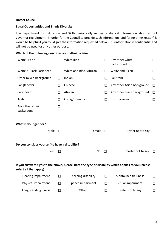#### **Dorset Council**

#### **Equal Opportunities and Ethnic Diversity**

The Department for Education and Skills periodically request statistical information about school governor recruitment. In order for the Council to provide such information (and for no other reason) it would be helpful if you could give the information requested below. This information is confidential and will not be used for any other purpose.

#### **Which of the following describes your ethnic origin?**

| <b>White British</b>                           | П      | White Irish             |        | Any other white<br>background                                                                      | $\Box$  |
|------------------------------------------------|--------|-------------------------|--------|----------------------------------------------------------------------------------------------------|---------|
| White & Black Caribbean                        | П      | White and Black African | П      | White and Asian                                                                                    | $\Box$  |
| Other mixed background                         | П      | Indian                  | $\Box$ | Pakistani                                                                                          | $\Box$  |
| Bangladeshi                                    | $\Box$ | Chinese                 | $\Box$ | Any other Asian background                                                                         | $\Box$  |
| Caribbean                                      | П      | African                 | $\Box$ | Any other black background                                                                         | $\Box$  |
| Arab                                           | П      | Gypsy/Romany            | П      | <b>Irish Traveller</b>                                                                             | □       |
| Any other ethnic<br>background                 | $\Box$ |                         |        |                                                                                                    |         |
| What is your gender?                           |        |                         |        |                                                                                                    |         |
| Male                                           | П      | Female                  | П      | Prefer not to say                                                                                  | $\perp$ |
| Do you consider yourself to have a disability? |        |                         |        |                                                                                                    |         |
| Yes                                            | П      | No                      | $\Box$ | Prefer not to say                                                                                  | $\Box$  |
| select all that apply)                         |        |                         |        | If you answered yes to the above, please state the type of disability which applies to you (please |         |
| Hearing impairment                             | $\Box$ | Learning disability     | $\Box$ | <b>Mental health illness</b>                                                                       | $\Box$  |
| Physical impairment                            | $\Box$ | Speech impairment       | $\Box$ | Visual impairment                                                                                  | $\Box$  |
| Long standing illness                          | $\Box$ | Other                   | $\Box$ | Prefer not to say                                                                                  | $\Box$  |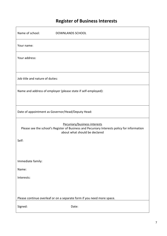# **Register of Business Interests**

| Name of school:<br><b>DOWNLANDS SCHOOL</b>                                                                                                                   |
|--------------------------------------------------------------------------------------------------------------------------------------------------------------|
| Your name:                                                                                                                                                   |
| Your address:                                                                                                                                                |
|                                                                                                                                                              |
| Job title and nature of duties:                                                                                                                              |
| Name and address of employer (please state if self-employed):                                                                                                |
|                                                                                                                                                              |
| Date of appointment as Governor/Head/Deputy Head:                                                                                                            |
| Pecuniary/business interests<br>Please see the school's Register of Business and Pecuniary Interests policy for information<br>about what should be declared |
| Self:                                                                                                                                                        |
|                                                                                                                                                              |
| Immediate family:                                                                                                                                            |
| Name:                                                                                                                                                        |
| Interests:                                                                                                                                                   |
|                                                                                                                                                              |
| Please continue overleaf or on a separate form if you need more space.                                                                                       |
| Signed:<br>Date:                                                                                                                                             |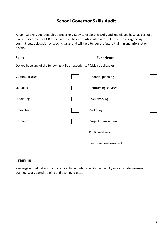## **School Governor Skills Audit**

An annual skills audit enables a Governing Body to explore its skills and knowledge base, as part of an overall assessment of GB effectiveness. The information obtained will be of use in organising committees, delegation of specific tasks, and will help to identify future training and information needs.

| <b>Skills</b>                                                               | <b>Experience</b> |                           |  |  |
|-----------------------------------------------------------------------------|-------------------|---------------------------|--|--|
| Do you have any of the following skills or experience? (tick if applicable) |                   |                           |  |  |
| Communication                                                               |                   | <b>Financial planning</b> |  |  |
| Listening                                                                   |                   | Contracting services      |  |  |
| Mediating                                                                   |                   | Team working              |  |  |
| Innovation                                                                  |                   | Marketing                 |  |  |
| Research                                                                    |                   | Project management        |  |  |
|                                                                             |                   | <b>Public relations</b>   |  |  |
|                                                                             |                   | Personnel management      |  |  |

#### **Training**

Please give brief details of courses you have undertaken in the past 3 years - include governor training, work based training and evening classes.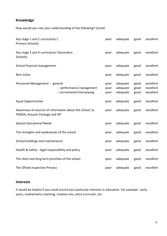#### **Knowledge**

How would you rate your understanding of the following? (circle)

| Key stage 1 and 2 curriculum/ (<br>Primary Schools)  |                                                           | poor                 | adequate                         | good                 | excellent                           |
|------------------------------------------------------|-----------------------------------------------------------|----------------------|----------------------------------|----------------------|-------------------------------------|
| Key stage 3 and 4 curriculum/ (Secondary<br>Schools) |                                                           | poor                 | adequate                         | good                 | excellent                           |
| School financial management                          |                                                           | poor                 | adequate                         | good                 | excellent                           |
| <b>Best Value</b>                                    |                                                           | poor                 | adequate                         | good                 | excellent                           |
| Personnel Management - general                       | - performance management<br>- recruitment/interviewing    | poor<br>poor<br>poor | adequate<br>adequate<br>adequate | good<br>good<br>good | excellent<br>excellent<br>excellent |
| <b>Equal Opportunities</b>                           |                                                           | poor                 | adequate                         | good                 | excellent                           |
| PANDA, Autumn Package and SIP                        | Awareness of sources of information about the school; ie, | poor                 | adequate                         | good                 | excellent                           |
| <b>Special Educational Needs</b>                     |                                                           | poor                 | adequate                         | good                 | excellent                           |
| The strengths and weaknesses of the school           |                                                           | poor                 | adequate                         | good                 | excellent                           |
| School buildings and maintenance                     |                                                           | poor                 | adequate                         | good                 | excellent                           |
| Health & Safety - legal responsibility and policy    |                                                           | poor                 | adequate                         | good                 | excellent                           |
| The short and long term priorities of the school     |                                                           | poor                 | adequate                         | good                 | excellent                           |
| The Ofsted Inspection Process                        |                                                           | poor                 | adequate                         | good                 | excellent                           |

#### **Interests**

It would be helpful if you could record your particular interests in education. For example : early years, mathematics teaching, creative arts, extra curricular, etc.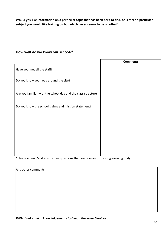**Would you like information on a particular topic that has been hard to find, or is there a particular subject you would like training on but which never seems to be on offer?** 

#### **How well do we know our school?\***

|                                                              | <b>Comments</b> |
|--------------------------------------------------------------|-----------------|
| Have you met all the staff?                                  |                 |
| Do you know your way around the site?                        |                 |
| Are you familiar with the school day and the class structure |                 |
| Do you know the school's aims and mission statement?         |                 |
|                                                              |                 |
|                                                              |                 |
|                                                              |                 |
|                                                              |                 |

\*please amend/add any further questions that are relevant for your governing body

| Any other comments: |  |  |  |
|---------------------|--|--|--|
|                     |  |  |  |
|                     |  |  |  |
|                     |  |  |  |
|                     |  |  |  |
|                     |  |  |  |
|                     |  |  |  |

*With thanks and acknowledgements to Devon Governor Services*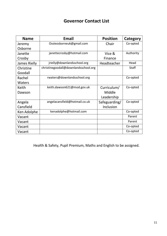# **Governor Contact List**

| <b>Name</b>   | <b>Email</b>                         | <b>Position</b> | Category     |
|---------------|--------------------------------------|-----------------|--------------|
| Jeremy        | Ossieosborneuk@gmail.com             | Chair           | Co-opted     |
| Osborne       |                                      |                 |              |
| Janette       | janettecrosby@hotmail.com            | Vice &          | Authority    |
| Crosby        |                                      | Finance         |              |
| James Rielly  | jrielly@downlandsschool.org          | Headteacher     | Head         |
| Christine     | christinegoodall@downlandsschool.org |                 | <b>Staff</b> |
| Goodall       |                                      |                 |              |
| Rachel        | rwaters@downlandsschool.org          |                 | Co-opted     |
| <b>Waters</b> |                                      |                 |              |
| Keith         | keith.dawson621@mod.gov.uk           | Curriculum/     | Co-opted     |
| Dawson        |                                      | Middle          |              |
|               |                                      | Leadership      |              |
| Angela        | angelacansfield@hotmail.co.uk        | Safeguarding/   | Co-opted     |
| Cansfield     |                                      | Inclusion       |              |
| Ken Adolphe   | kenadolphe@hotmail.com               |                 | Co-opted     |
| Vacant        |                                      |                 | Parent       |
| Vacant        |                                      |                 | Parent       |
| Vacant        |                                      |                 | Co-opted     |
| Vacant        |                                      |                 | Co-opted     |

Health & Safety, Pupil Premium, Maths and English to be assigned.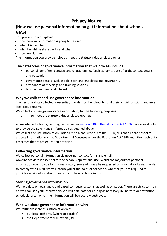## **Privacy Notice**

### **(How we use personal information on get information about schools - GIAS)**

This privacy notice explains:

- how personal information is going to be used
- what it is used for
- who it might be shared with and why
- how long it is kept.

The information you provide helps us meet the statutory duties placed on us.

#### **The categories of governance information that we process include:**

- personal identifiers, contacts and characteristics (such as name, date of birth, contact details and postcode)
- governance details (such as role, start and end dates and governor ID)
- attendance at meetings and training sessions
- business and financial interests

#### **Why we collect and use governance information**

The personal data collected is essential, in order for the school to fulfil their official functions and meet legal requirements.

We collect and use governorance information, for the following purposes:

a) to meet the statutory duties placed upon us

All maintained school governing bodies, under [section 538 of the Education Act 1996](http://www.legislation.gov.uk/ukpga/1996/56/section/538) have a legal duty to provide the governance information as detailed above.

We collect and use information under Article 6 and Article 9 of the GDPR, this enables the school to process information such as Departmental Censuses under the Education Act 1996 and other such data processes that relate education provision.

#### **Collecting governance information**

We collect personal information via governor contact forms and email.

Governance data is essential for the school's operational use. Whilst the majority of personal information you provide to us is mandatory, some of it may be requested on a voluntary basis. In order to comply with GDPR, we will inform you at the point of collection, whether you are required to provide certain information to us or if you have a choice in this.

#### **Storing governance information**

We hold data on local and cloud based computer systems, as well as on paper. There are strict controls on who can see your information. We will hold data for as long as necessary in line with our retention scheducle, after which the information will be securely destroyed.

#### **Who we share governance information with**

We routinely share this information with:

- our local authority (where applicable)
- the Department for Education (DfE)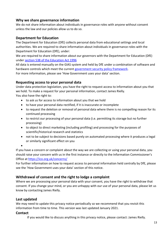#### **Why we share governance information**

We do not share information about individuals in governance roles with anyone without consent unless the law and our policies allow us to do so.

#### **Department for Education**

The Department for Education (DfE) collects personal data from educational settings and local authorities. We are required to share information about individuals in governance roles with the Department for Education (DfE), under:

We are required to share information about our governors with the Department for Education (DfE) under [section 538 of the Education Act 1996](http://www.legislation.gov.uk/ukpga/1996/56/section/538)

All data is entered manually on the GIAS system and held by DfE under a combination of software and hardware controls which meet the current [government security policy framework.](https://www.gov.uk/government/publications/security-policy-framework) For more information, please see 'How Government uses your data' section.

#### **Requesting access to your personal data**

Under data protection legislation, you have the right to request access to information about you that we hold. To make a request for your personal information, contact James Rielly. You also have the right to:

- to ask us for access to information about you that we hold
- to have your personal data rectified, if it is inaccurate or incomplete
- to request the deletion or removal of personal data where there is no compelling reason for its continued processing
- to restrict our processing of your personal data (i.e. permitting its storage but no further processing)
- to object to direct marketing (including profiling) and processing for the purposes of scientific/historical research and statistics
- not to be subject to decisions based purely on automated processing where it produces a legal or similarly significant effect on you

 $\bullet$ 

If you have a concern or complaint about the way we are collecting or using your personal data, you should raise your concern with us in the first instance or directly to the Information Commissioner's Office at <https://ico.org.uk/concerns/>

For further information on how to request access to personal information held centrally by DfE, please see the 'How Government uses your data' section of this notice.

#### **Withdrawal of consent and the right to lodge a complaint**

Where we are processing your personal data with your consent, you have the right to withdraw that consent. If you change your mind, or you are unhappy with our use of your personal data, please let us know by contacting James Rielly.

#### **Last updated**

We may need to update this privacy notice periodically so we recommend that you revisit this information from time to time. This version was last updated January 2021.

#### **Contact**

If you would like to discuss anything in this privacy notice, please contact: James Rielly.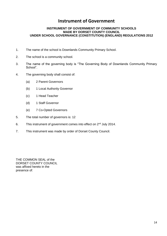### **Instrument of Government**

#### **INSTRUMENT OF GOVERNMENT OF COMMUNITY SCHOOLS MADE BY DORSET COUNTY COUNCIL UNDER SCHOOL GOVERNANCE (CONSTITUTION) (ENGLAND) REGULATIONS 2012**

- 1. The name of the school is Downlands Community Primary School.
- 2. The school is a community school.
- 3. The name of the governing body is "The Governing Body of Downlands Community Primary School".
- 4. The governing body shall consist of:
	- (a) 2 Parent Governors
	- (b) 1 Local Authority Governor
	- (c) 1 Head Teacher
	- (d) 1 Staff Governor
	- (e) 7 Co-Opted Governors
- 5. The total number of governors is: 12
- 6. This instrument of government comes into effect on 2<sup>nd</sup> July 2014.
- 7. This instrument was made by order of Dorset County Council.

THE COMMON SEAL of the DORSET COUNTY COUNCIL was affixed hereto in the presence of: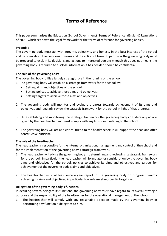## **Terms of Reference**

This paper summarises the Education (School Government) (Terms of Reference) (England) Regulations of 2000, which set down the legal framework for the terms of reference for governing bodies.

#### **Preamble**

The governing body must act with integrity, objectivity and honesty in the best interest of the school and be open about the decisions it makes and the actions it takes. In particular the governing body must be prepared to explain its decisions and actions to interested persons (though this does not means the governing body is required to disclose information it has decided should be confidential).

#### **The role of the governing body**

The governing body fulfils a largely strategic role in the running of the school.

1. The governing body will establish a strategic framework for the school by:

- Setting aims and objectives of the school;
- Setting polices to achieve those aims and objectives;
- Setting targets to achieve those aims and objectives.
- 2. The governing body will monitor and evaluate progress towards achievement of its aims and objectives and regularly review the strategic framework for the school in light of that progress.
- 3. In establishing and monitoring the strategic framework the governing body considers any advice given by the headteacher and must comply with any trust deed relating to the school.
- 4. The governing body will act as a critical friend to the headteacher: it will support the head and offer constructive criticism.

#### **The role of the headteacher**

The headteacher is responsible for the internal organisation, management and control of the school and for the implementation of the governing body's strategic framework.

- 1. The headteacher will advise the governing body in determining and reviewing its strategic framework for the school. In particular the headteacher will formulate for consideration by the governing body aims and objectives for the school, policies to achieve its aims and objectives and targets for achievement of the governing body's aims and objectives.
- 2. The headteacher must at least once a year report to the governing body on progress towards achieving its aims and objectives, in particular towards meeting specific targets set.

#### **Delegation of the governing body's functions**

In deciding how to delegate its functions, the governing body must have regard to its overall strategic purpose and the responsibility of the headteacher for the operational management of the school.

1. The headteacher will comply with any reasonable direction made by the governing body in performing any function it delegates to him.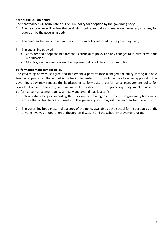#### **School curriculum policy**

The headteacher will formulate a curriculum policy for adoption by the governing body.

- 1. The headteacher will review the curriculum policy annually and make any necessary changes, for adoption by the governing body.
- 2. The headteacher will implement the curriculum policy adopted by the governing body.
- 3. The governing body will:
	- Consider and adopt the headteacher's curriculum policy and any changes to it, with or without modification;
	- Monitor, evaluate and review the implementation of the curriculum policy.

#### **Performance management policy**

The governing body must agree and implement a performance management policy setting out how teacher appraisal at the school is to be implemented. This includes headteacher appraisal. The governing body may request the headteacher to formulate a performance management policy for consideration and adoption, with or without modification. The governing body must review the performance management policy annually and amend it as it sees fit.

- 1. Before establishing or amending the performance management policy, the governing body must ensure that all teachers are consulted. The governing body may ask the headteacher to do this.
- 2. The governing body must make a copy of the policy available at the school for inspection by staff, anyone involved in operation of the appraisal system and the School Improvement Partner.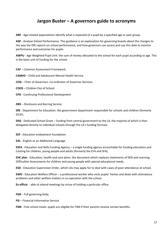## **Jargon Buster – A governors guide to acronyms**

**ARE** - Age-related expectations identify what is expected of a pupil by a specified age or year group.

**ASP** - Analyse School Performance. This guidance is an explanation for governing boards about the changes to the way the DfE reports on school performance, and how governors can access and use this date to monitor performance and outcomes for pupils.

**AWPU** - Age Weighted Pupil Unit: the sum of money allocated to the school for each pupil according to age. This is the basic unit of funding for the school.

**CAF** – Common Assessment Framework.

**CAMHS** – Child and Adolescent Mental Health Service.

**COG** – Chair of Governors. Co-ordinator of Governor Services.

**COOS** – Children Out of School.

**CPD** - Continuing Professional Development

**DBS** – Disclosure and Barring Service.

**DfE** - Department for Education: the government department responsible for schools and children (formerly DCSF).

**DSG** - Dedicated School Grant – funding from central government to the LA, the majority of which is then delegated directly to individual schools through the LA's funding formula.

**EEF** - Education endowment foundation.

**EAL** - English as an Additional Language.

**ESFA** - Education and Skills Funding Agency – a single funding agency accountable for funding education and training for children, young people and adults (formerly the EFA and SFA).

**EHC plan** - Education, health and care plans: the document which replaces statements of SEN and Learning Difficulties Assessments for children and young people with special educational needs.

**ESO** - Education Supervision Order, which LAs may apply for to deal with cases of poor attendance at school.

**EWO** - Education Welfare Officer – a professional worker who visits pupils' homes and deals with attendance problems and other welfare matters in co-operation with the school.

**Ex officio** - able to attend meetings by virtue of holding a particular office.

**FGB** – Full governing body.

**FIS** – Financial Information Service.

**FSM** - Free school meals: pupils are eligible for FSM if their parents receive certain benefits.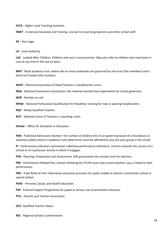**HLTA** - Higher Level Teaching Assistant.

**INSET** - In-Service Education and Training: courses for practising teachers and other school staff.

**KS** – Key stage.

**LA** - Local authority.

**LAC** - Looked After Children: Children who are in care provision. May also refer to children who have been in care at any time in the last six years.

**MAT** - Multi academy trust: where two or more academies are governed by one trust (the members) and a board of trustees (the trustees).

**NAHT** - National Association of Head Teachers: a headteacher union.

**NGA** - National Governance Association: the national membership organisation for school governors.

**NOR** - Number on roll.

**NPQH** - National Professional Qualification for Headship: training for new or aspiring headteachers.

**NQT** - Newly Qualified Teacher.

**NUT** - National Union of Teachers: a teaching union.

**Ofsted** – Office for Standards in Education.

**PAN** - Published Admissions Number: the number of children the LA (or governing board of a foundation or voluntary aided school or academy trust) determines must be admitted to any one year group in the school.

**PI** - Performance Indicators (sometimes called key performance indicators). Used to evaluate the success of a school or of a particular activity in which it engages.

**PPA** - Planning, Preparation and Assessment: 10% guaranteed non-contact time for teachers.

**PRP** - Performance Related Pay: schools following the STCPD must now ensure teachers' pay is linked to their performance.

**PRU** - Pupil Referral Unit: alternative education provision for pupils unable to attend a mainstream school or special school.

**PSHE** – Personal, Social, and Health Education.

**PSP** - Pastoral Support Programme for pupils at serious risk of permanent exclusion.

**PTA** – Parents and Teacher Association.

**QTS**- Qualified Teacher Status.

**RSC** - Regional Schools Commissioner.